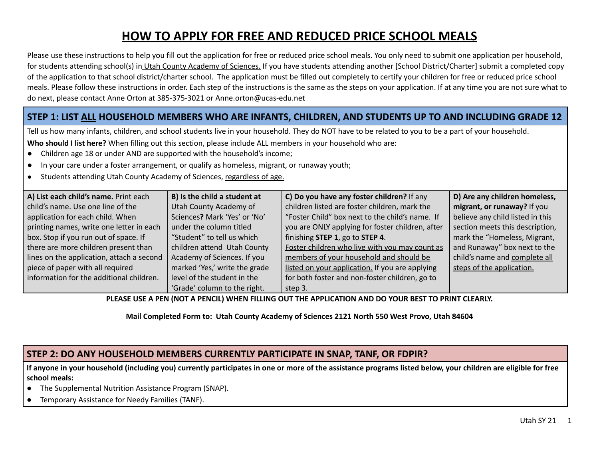# **HOW TO APPLY FOR FREE AND REDUCED PRICE SCHOOL MEALS**

Please use these instructions to help you fill out the application for free or reduced price school meals. You only need to submit one application per household, for students attending school(s) in Utah County Academy of Sciences. If you have students attending another [School District/Charter] submit a completed copy of the application to that school district/charter school. The application must be filled out completely to certify your children for free or reduced price school meals. Please follow these instructions in order. Each step of the instructions is the same as the steps on your application. If at any time you are not sure what to do next, please contact Anne Orton at 385-375-3021 or Anne.orton@ucas-edu.net

# STEP 1: LIST ALL HOUSEHOLD MEMBERS WHO ARE INFANTS, CHILDREN, AND STUDENTS UP TO AND INCLUDING GRADE 12

Tell us how many infants, children, and school students live in your household. They do NOT have to be related to you to be a part of your household.

**Who should I list here?** When filling out this section, please include ALL members in your household who are:

- Children age 18 or under AND are supported with the household's income;
- In your care under a foster arrangement, or qualify as homeless, migrant, or runaway youth;
- Students attending Utah County Academy of Sciences, regardless of age.

| A) List each child's name. Print each     | B) Is the child a student at  | C) Do you have any foster children? If any       | D) Are any children homeless,    |
|-------------------------------------------|-------------------------------|--------------------------------------------------|----------------------------------|
| child's name. Use one line of the         | Utah County Academy of        | children listed are foster children, mark the    | migrant, or runaway? If you      |
| application for each child. When          | Sciences? Mark 'Yes' or 'No'  | "Foster Child" box next to the child's name. If  | believe any child listed in this |
| printing names, write one letter in each  | under the column titled       | you are ONLY applying for foster children, after | section meets this description,  |
| box. Stop if you run out of space. If     | "Student" to tell us which    | finishing STEP 1, go to STEP 4.                  | mark the "Homeless, Migrant,     |
| there are more children present than      | children attend Utah County   | Foster children who live with you may count as   | and Runaway" box next to the     |
| lines on the application, attach a second | Academy of Sciences. If you   | members of your household and should be          | child's name and complete all    |
| piece of paper with all required          | marked 'Yes,' write the grade | listed on your application. If you are applying  | steps of the application.        |
| information for the additional children.  | level of the student in the   | for both foster and non-foster children, go to   |                                  |
|                                           | 'Grade' column to the right.  | step 3.                                          |                                  |

PLEASE USE A PEN (NOT A PENCIL) WHEN FILLING OUT THE APPLICATION AND DO YOUR BEST TO PRINT CLEARLY.

**Mail Completed Form to: Utah County Academy of Sciences 2121 North 550 West Provo, Utah 84604**

### **STEP 2: DO ANY HOUSEHOLD MEMBERS CURRENTLY PARTICIPATE IN SNAP, TANF, OR FDPIR?**

If anyone in your household (including you) currently participates in one or more of the assistance programs listed below, your children are eligible for free **school meals:**

- The Supplemental Nutrition Assistance Program (SNAP).
- Temporary Assistance for Needy Families (TANF).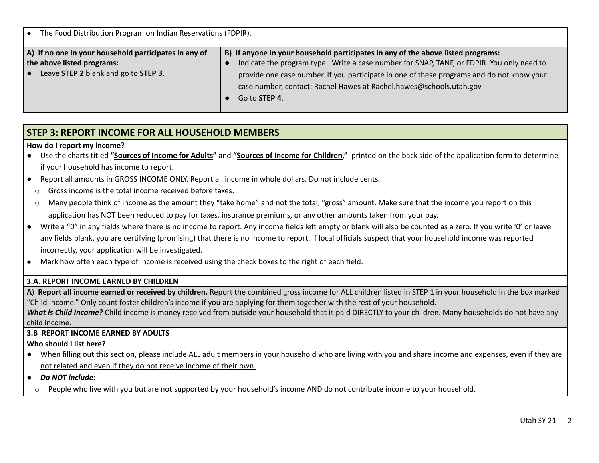| The Food Distribution Program on Indian Reservations (FDPIR).                                                                      |                                                                                                                                                                                                                                                                                                                                                                            |  |  |  |  |
|------------------------------------------------------------------------------------------------------------------------------------|----------------------------------------------------------------------------------------------------------------------------------------------------------------------------------------------------------------------------------------------------------------------------------------------------------------------------------------------------------------------------|--|--|--|--|
| A) If no one in your household participates in any of<br>the above listed programs:<br>Leave STEP 2 blank and go to STEP 3.<br>l e | B) If anyone in your household participates in any of the above listed programs:<br>Indicate the program type. Write a case number for SNAP, TANF, or FDPIR. You only need to<br>provide one case number. If you participate in one of these programs and do not know your<br>case number, contact: Rachel Hawes at Rachel.hawes@schools.utah.gov<br>Go to <b>STEP 4</b> . |  |  |  |  |

### **STEP 3: REPORT INCOME FOR ALL HOUSEHOLD MEMBERS**

#### **How do I report my income?**

- Use the charts titled **"Sources of Income for Adults"** and **"Sources of Income for Children,"** printed on the back side of the application form to determine if your household has income to report.
- Report all amounts in GROSS INCOME ONLY. Report all income in whole dollars. Do not include cents.
- o Gross income is the total income received before taxes.
- o Many people think of income as the amount they "take home" and not the total, "gross" amount. Make sure that the income you report on this application has NOT been reduced to pay for taxes, insurance premiums, or any other amounts taken from your pay.
- Write a "0" in any fields where there is no income to report. Any income fields left empty or blank will also be counted as a zero. If you write '0' or leave any fields blank, you are certifying (promising) that there is no income to report. If local officials suspect that your household income was reported incorrectly, your application will be investigated.
- Mark how often each type of income is received using the check boxes to the right of each field.

#### **3.A. REPORT INCOME EARNED BY CHILDREN**

**A**) **Report all income earned or received by children.** Report the combined gross income for ALL children listed in STEP 1 in your household in the box marked "Child Income." Only count foster children's income if you are applying for them together with the rest of your household.

*What is Child Income?* Child income is money received from outside your household that is paid DIRECTLY to your children. Many households do not have any child income.

#### **3.B REPORT INCOME EARNED BY ADULTS**

#### **Who should I list here?**

- When filling out this section, please include ALL adult members in your household who are living with you and share income and expenses, even if they are not related and even if they do not receive income of their own.
- *● Do NOT include:*
- o People who live with you but are not supported by your household's income AND do not contribute income to your household.